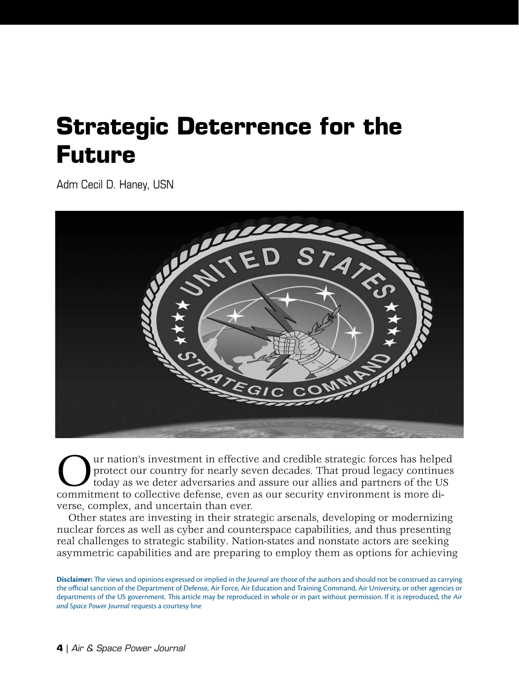## **Strategic Deterrence for the Future**

[Adm Cecil D. Haney, USN](#page-4-0)



Our nation's investment in effective and credible strategic forces has helped commitment to collective defense, even as our security environment is more diprotect our country for nearly seven decades. That proud legacy continues today as we deter adversaries and assure our allies and partners of the US verse, complex, and uncertain than ever.

Other states are investing in their strategic arsenals, developing or modernizing nuclear forces as well as cyber and counterspace capabilities, and thus presenting real challenges to strategic stability. Nation-states and nonstate actors are seeking asymmetric capabilities and are preparing to employ them as options for achieving

**Disclaimer:** The views and opinions expressed or implied in the *Journal* are those of the authors and should not be construed as carrying the official sanction of the Department of Defense, Air Force, Air Education and Training Command, Air University, or other agencies or departments of the US government. This article may be reproduced in whole or in part without permission. If it is reproduced, the *Air and Space Power Journal* requests a courtesy line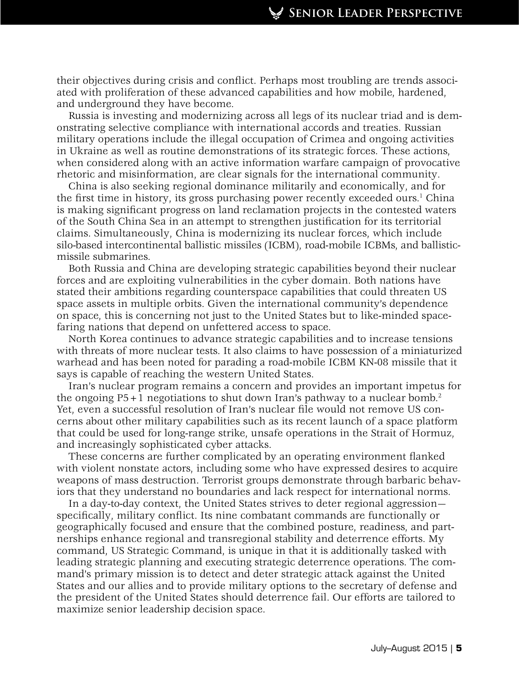their objectives during crisis and conflict. Perhaps most troubling are trends associated with proliferation of these advanced capabilities and how mobile, hardened, and underground they have become.

Russia is investing and modernizing across all legs of its nuclear triad and is demonstrating selective compliance with international accords and treaties. Russian military operations include the illegal occupation of Crimea and ongoing activities in Ukraine as well as routine demonstrations of its strategic forces. These actions, when considered along with an active information warfare campaign of provocative rhetoric and misinformation, are clear signals for the international community.

China is also seeking regional dominance militarily and economically, and for the first time in history, its gross purchasing power recently exceeded ours.<sup>1</sup> China is making significant progress on land reclamation projects in the contested waters of the South China Sea in an attempt to strengthen justification for its territorial claims. Simultaneously, China is modernizing its nuclear forces, which include silo-based intercontinental ballistic missiles (ICBM), road-mobile ICBMs, and ballisticmissile submarines.

Both Russia and China are developing strategic capabilities beyond their nuclear forces and are exploiting vulnerabilities in the cyber domain. Both nations have stated their ambitions regarding counterspace capabilities that could threaten US space assets in multiple orbits. Given the international community's dependence on space, this is concerning not just to the United States but to like-minded spacefaring nations that depend on unfettered access to space.

North Korea continues to advance strategic capabilities and to increase tensions with threats of more nuclear tests. It also claims to have possession of a miniaturized warhead and has been noted for parading a road-mobile ICBM KN-08 missile that it says is capable of reaching the western United States.

Iran's nuclear program remains a concern and provides an important impetus for the ongoing  $P5+1$  negotiations to shut down Iran's pathway to a nuclear bomb.<sup>2</sup> Yet, even a successful resolution of Iran's nuclear file would not remove US concerns about other military capabilities such as its recent launch of a space platform that could be used for long-range strike, unsafe operations in the Strait of Hormuz, and increasingly sophisticated cyber attacks.

These concerns are further complicated by an operating environment flanked with violent nonstate actors, including some who have expressed desires to acquire weapons of mass destruction. Terrorist groups demonstrate through barbaric behaviors that they understand no boundaries and lack respect for international norms.

In a day-to-day context, the United States strives to deter regional aggression specifically, military conflict. Its nine combatant commands are functionally or geographically focused and ensure that the combined posture, readiness, and partnerships enhance regional and transregional stability and deterrence efforts. My command, US Strategic Command, is unique in that it is additionally tasked with leading strategic planning and executing strategic deterrence operations. The command's primary mission is to detect and deter strategic attack against the United States and our allies and to provide military options to the secretary of defense and the president of the United States should deterrence fail. Our efforts are tailored to maximize senior leadership decision space.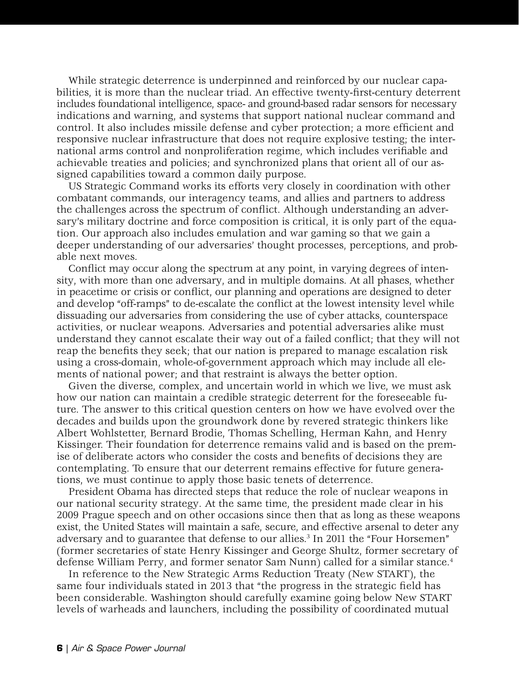While strategic deterrence is underpinned and reinforced by our nuclear capabilities, it is more than the nuclear triad. An effective twenty-first-century deterrent includes foundational intelligence, space- and ground-based radar sensors for necessary indications and warning, and systems that support national nuclear command and control. It also includes missile defense and cyber protection; a more efficient and responsive nuclear infrastructure that does not require explosive testing; the international arms control and nonproliferation regime, which includes verifiable and achievable treaties and policies; and synchronized plans that orient all of our assigned capabilities toward a common daily purpose.

US Strategic Command works its efforts very closely in coordination with other combatant commands, our interagency teams, and allies and partners to address the challenges across the spectrum of conflict. Although understanding an adversary's military doctrine and force composition is critical, it is only part of the equation. Our approach also includes emulation and war gaming so that we gain a deeper understanding of our adversaries' thought processes, perceptions, and probable next moves.

Conflict may occur along the spectrum at any point, in varying degrees of intensity, with more than one adversary, and in multiple domains. At all phases, whether in peacetime or crisis or conflict, our planning and operations are designed to deter and develop "off-ramps" to de-escalate the conflict at the lowest intensity level while dissuading our adversaries from considering the use of cyber attacks, counterspace activities, or nuclear weapons. Adversaries and potential adversaries alike must understand they cannot escalate their way out of a failed conflict; that they will not reap the benefits they seek; that our nation is prepared to manage escalation risk using a cross-domain, whole-of-government approach which may include all elements of national power; and that restraint is always the better option.

Given the diverse, complex, and uncertain world in which we live, we must ask how our nation can maintain a credible strategic deterrent for the foreseeable future. The answer to this critical question centers on how we have evolved over the decades and builds upon the groundwork done by revered strategic thinkers like Albert Wohlstetter, Bernard Brodie, Thomas Schelling, Herman Kahn, and Henry Kissinger. Their foundation for deterrence remains valid and is based on the premise of deliberate actors who consider the costs and benefits of decisions they are contemplating. To ensure that our deterrent remains effective for future generations, we must continue to apply those basic tenets of deterrence.

President Obama has directed steps that reduce the role of nuclear weapons in our national security strategy. At the same time, the president made clear in his 2009 Prague speech and on other occasions since then that as long as these weapons exist, the United States will maintain a safe, secure, and effective arsenal to deter any adversary and to guarantee that defense to our allies.3 In 2011 the "Four Horsemen" (former secretaries of state Henry Kissinger and George Shultz, former secretary of defense William Perry, and former senator Sam Nunn) called for a similar stance.4

In reference to the New Strategic Arms Reduction Treaty (New START), the same four individuals stated in 2013 that "the progress in the strategic field has been considerable. Washington should carefully examine going below New START levels of warheads and launchers, including the possibility of coordinated mutual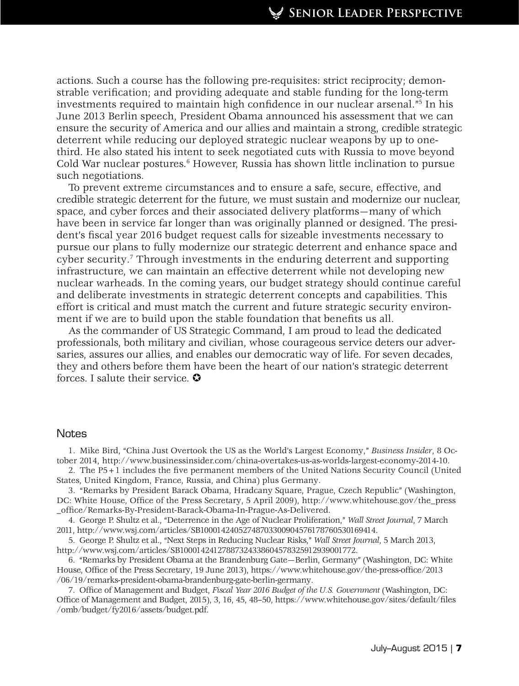actions. Such a course has the following pre-requisites: strict reciprocity; demonstrable verification; and providing adequate and stable funding for the long-term investments required to maintain high confidence in our nuclear arsenal."5 In his June 2013 Berlin speech, President Obama announced his assessment that we can ensure the security of America and our allies and maintain a strong, credible strategic deterrent while reducing our deployed strategic nuclear weapons by up to onethird. He also stated his intent to seek negotiated cuts with Russia to move beyond Cold War nuclear postures.<sup>6</sup> However, Russia has shown little inclination to pursue such negotiations.

To prevent extreme circumstances and to ensure a safe, secure, effective, and credible strategic deterrent for the future, we must sustain and modernize our nuclear, space, and cyber forces and their associated delivery platforms—many of which have been in service far longer than was originally planned or designed. The president's fiscal year 2016 budget request calls for sizeable investments necessary to pursue our plans to fully modernize our strategic deterrent and enhance space and cyber security.<sup>7</sup> Through investments in the enduring deterrent and supporting infrastructure, we can maintain an effective deterrent while not developing new nuclear warheads. In the coming years, our budget strategy should continue careful and deliberate investments in strategic deterrent concepts and capabilities. This effort is critical and must match the current and future strategic security environment if we are to build upon the stable foundation that benefits us all.

As the commander of US Strategic Command, I am proud to lead the dedicated professionals, both military and civilian, whose courageous service deters our adversaries, assures our allies, and enables our democratic way of life. For seven decades, they and others before them have been the heart of our nation's strategic deterrent forces. I salute their service.  $\bullet$ 

## **Notes**

1. Mike Bird, "China Just Overtook the US as the World's Largest Economy," *Business Insider*, 8 October 2014, http://www.businessinsider.com/china-overtakes-us-as-worlds-largest-economy-2014-10.

2. The P5+1 includes the five permanent members of the United Nations Security Council (United States, United Kingdom, France, Russia, and China) plus Germany.

3. "Remarks by President Barack Obama, Hradcany Square, Prague, Czech Republic" (Washington, DC: White House, Office of the Press Secretary, 5 April 2009), http://www.whitehouse.gov/the\_press \_office/Remarks-By-President-Barack-Obama-In-Prague-As-Delivered.

4. George P. Shultz et al., "Deterrence in the Age of Nuclear Proliferation," *Wall Street Journal*, 7 March 2011, http://www.wsj.com/articles/SB10001424052748703300904576178760530169414.

5. George P. Shultz et al., "Next Steps in Reducing Nuclear Risks," *Wall Street Journal*, 5 March 2013, http://www.wsj.com/articles/SB10001424127887324338604578325912939001772.

6. "Remarks by President Obama at the Brandenburg Gate—Berlin, Germany" (Washington, DC: White House, Office of the Press Secretary, 19 June 2013), https://www.whitehouse.gov/the-press-office/2013 /06/19/remarks-president-obama-brandenburg-gate-berlin-germany.

7. Office of Management and Budget, *Fiscal Year 2016 Budget of the U.S. Government* (Washington, DC: Office of Management and Budget, 2015), 3, 16, 45, 48–50, https://www.whitehouse.gov/sites/default/files /omb/budget/fy2016/assets/budget.pdf.